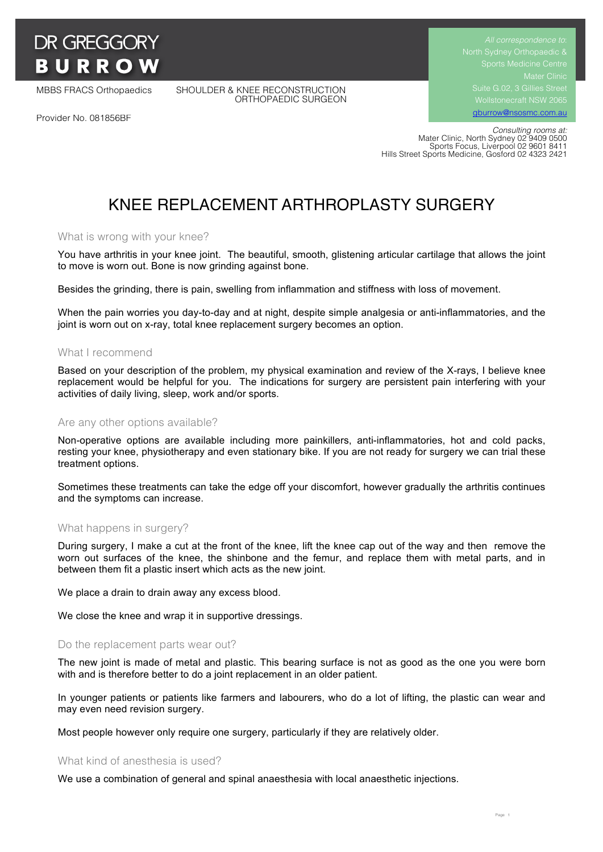

MBBS FRACS Orthopaedics SHOULDER & KNEE RECONSTRUCTION ORTHOPAEDIC SURGEON Suite G.02, 3 Gillies Street gburrow@nsosmc.com.au

Provider No. 081856BF

 *Consulting rooms at:* Mater Clinic, North Sydney 02 9409 0500 Sports Focus, Liverpool 02 9601 8411 Hills Street Sports Medicine, Gosford 02 4323 2421

# KNEE REPLACEMENT ARTHROPLASTY SURGERY

### What is wrong with your knee?

You have arthritis in your knee joint. The beautiful, smooth, glistening articular cartilage that allows the joint to move is worn out. Bone is now grinding against bone.

Besides the grinding, there is pain, swelling from inflammation and stiffness with loss of movement.

When the pain worries you day-to-day and at night, despite simple analgesia or anti-inflammatories, and the joint is worn out on x-ray, total knee replacement surgery becomes an option.

#### What I recommend

Based on your description of the problem, my physical examination and review of the X-rays, I believe knee replacement would be helpful for you. The indications for surgery are persistent pain interfering with your activities of daily living, sleep, work and/or sports.

#### Are any other options available?

Non-operative options are available including more painkillers, anti-inflammatories, hot and cold packs, resting your knee, physiotherapy and even stationary bike. If you are not ready for surgery we can trial these treatment options.

Sometimes these treatments can take the edge off your discomfort, however gradually the arthritis continues and the symptoms can increase.

#### What happens in surgery?

During surgery, I make a cut at the front of the knee, lift the knee cap out of the way and then remove the worn out surfaces of the knee, the shinbone and the femur, and replace them with metal parts, and in between them fit a plastic insert which acts as the new joint.

We place a drain to drain away any excess blood.

We close the knee and wrap it in supportive dressings.

#### Do the replacement parts wear out?

The new joint is made of metal and plastic. This bearing surface is not as good as the one you were born with and is therefore better to do a joint replacement in an older patient.

In younger patients or patients like farmers and labourers, who do a lot of lifting, the plastic can wear and may even need revision surgery.

Most people however only require one surgery, particularly if they are relatively older.

#### What kind of anesthesia is used?

We use a combination of general and spinal anaesthesia with local anaesthetic injections.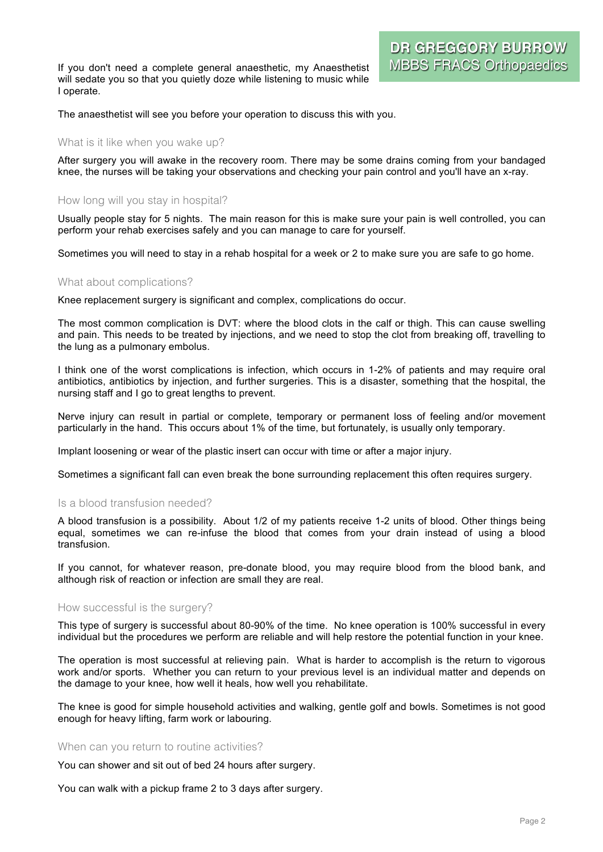If you don't need a complete general anaesthetic, my Anaesthetist will sedate you so that you quietly doze while listening to music while I operate.

The anaesthetist will see you before your operation to discuss this with you.

#### What is it like when you wake up?

After surgery you will awake in the recovery room. There may be some drains coming from your bandaged knee, the nurses will be taking your observations and checking your pain control and you'll have an x-ray.

#### How long will you stay in hospital?

Usually people stay for 5 nights. The main reason for this is make sure your pain is well controlled, you can perform your rehab exercises safely and you can manage to care for yourself.

Sometimes you will need to stay in a rehab hospital for a week or 2 to make sure you are safe to go home.

#### What about complications?

Knee replacement surgery is significant and complex, complications do occur.

The most common complication is DVT: where the blood clots in the calf or thigh. This can cause swelling and pain. This needs to be treated by injections, and we need to stop the clot from breaking off, travelling to the lung as a pulmonary embolus.

I think one of the worst complications is infection, which occurs in 1-2% of patients and may require oral antibiotics, antibiotics by injection, and further surgeries. This is a disaster, something that the hospital, the nursing staff and I go to great lengths to prevent.

Nerve injury can result in partial or complete, temporary or permanent loss of feeling and/or movement particularly in the hand. This occurs about 1% of the time, but fortunately, is usually only temporary.

Implant loosening or wear of the plastic insert can occur with time or after a major injury.

Sometimes a significant fall can even break the bone surrounding replacement this often requires surgery.

### Is a blood transfusion needed?

A blood transfusion is a possibility. About 1/2 of my patients receive 1-2 units of blood. Other things being equal, sometimes we can re-infuse the blood that comes from your drain instead of using a blood transfusion.

If you cannot, for whatever reason, pre-donate blood, you may require blood from the blood bank, and although risk of reaction or infection are small they are real.

#### How successful is the surgery?

This type of surgery is successful about 80-90% of the time. No knee operation is 100% successful in every individual but the procedures we perform are reliable and will help restore the potential function in your knee.

The operation is most successful at relieving pain. What is harder to accomplish is the return to vigorous work and/or sports. Whether you can return to your previous level is an individual matter and depends on the damage to your knee, how well it heals, how well you rehabilitate.

The knee is good for simple household activities and walking, gentle golf and bowls. Sometimes is not good enough for heavy lifting, farm work or labouring.

#### When can you return to routine activities?

You can shower and sit out of bed 24 hours after surgery.

You can walk with a pickup frame 2 to 3 days after surgery.